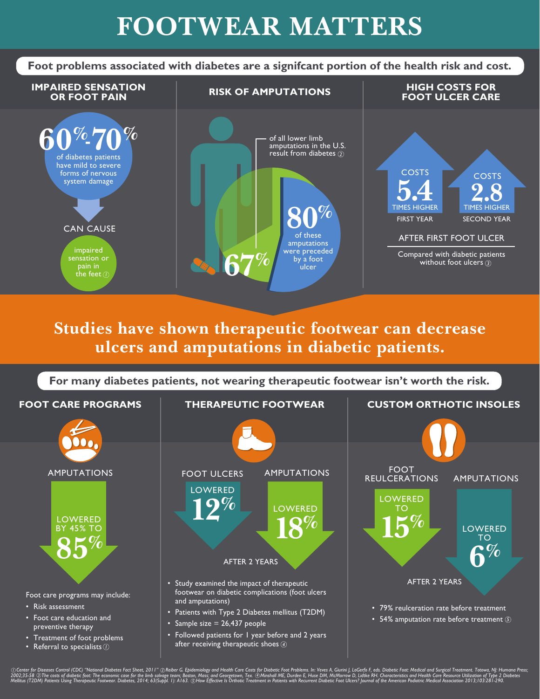## **FOOTWEAR MATTERS**

**Foot problems associated with diabetes are a signifcant portion of the health risk and cost.**



## **Studies have shown therapeutic footwear can decrease ulcers and amputations in diabetic patients.**



①Center for Diseases Control (CDC) "National Diabetes Fact Sheet, 2011" ②Reiber G. Epidemiology and Health Care Costs for Diabetic Foot Problems. In: Veves A, Giurini J, LoGerfo F, eds. Diabetic Foot: Medical and Surgical DCenter for Diseases Control (CDC) "National Diabetes Fact Sheet, 2011" (2)Reiber G. Epidemiology and Health Care Costs f<br>2002;35-58 (3)The costs of diabetic foot: The economic case for the limb salvage team; Boston, Mass;